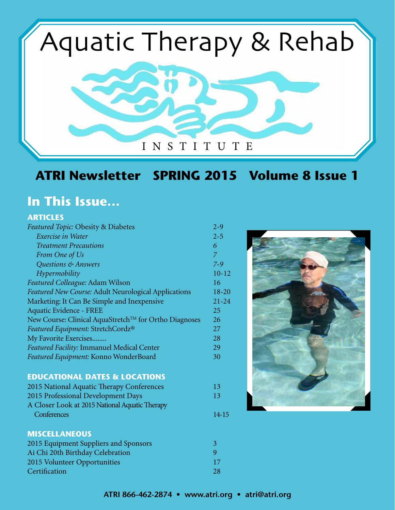



### **ATRI Newsletter SPRING 2015 Volume 8 Issue 1**

### **In This Issue…**

#### **ARTICLES**

| Featured Topic: Obesity & Diabetes                    | $2 - 9$   |
|-------------------------------------------------------|-----------|
| Exercise in Water                                     | $2 - 5$   |
| <b>Treatment Precautions</b>                          | 6         |
| From One of Us                                        | 7         |
| Questions & Answers                                   | $7 - 9$   |
| Hypermobility                                         | $10 - 12$ |
| Featured Colleague: Adam Wilson                       | 16        |
| Featured New Course: Adult Neurological Applications  | $18 - 20$ |
| Marketing: It Can Be Simple and Inexpensive           | $21 - 24$ |
| <b>Aquatic Evidence - FREE</b>                        | 25        |
| New Course: Clinical AquaStretch™ for Ortho Diagnoses | 26        |
| Featured Equipment: StretchCordz®                     | 27        |
| My Favorite Exercises<br>.                            | 28        |
| Featured Facility: Immanuel Medical Center            | 29        |
| Featured Equipment: Konno WonderBoard                 | 30        |

#### **EDUCATIONAL DATES & LOCATIONS**

| 2015 National Aquatic Therapy Conferences      | 13    |
|------------------------------------------------|-------|
| 2015 Professional Development Days             | -13   |
| A Closer Look at 2015 National Aquatic Therapy |       |
| Conferences                                    | 14-15 |

#### **MISCELLANEOUS**

| 2015 Equipment Suppliers and Sponsors |    |
|---------------------------------------|----|
| Ai Chi 20th Birthday Celebration      |    |
| 2015 Volunteer Opportunities          | 17 |
| Certification                         | 28 |

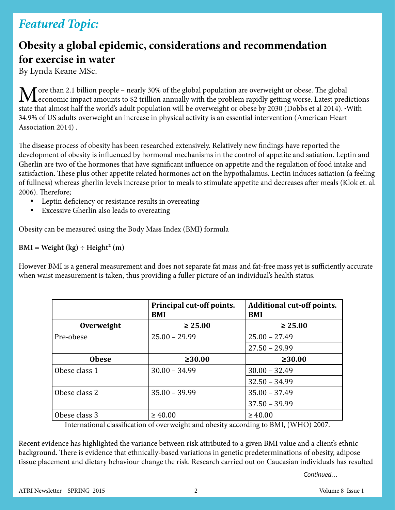### *Featured Topic:*

### **Obesity a global epidemic, considerations and recommendation for exercise in water**

By Lynda Keane MSc.

More than 2.1 billion people – nearly 30% of the global population are overweight or obese. The global economic impact amounts to \$2 trillion annually with the problem rapidly getting worse. Latest predictions state that almost half the world's adult population will be overweight or obese by 2030 (Dobbs et al 2014). With 34.9% of US adults overweight an increase in physical activity is an essential intervention (American Heart Association 2014) .

The disease process of obesity has been researched extensively. Relatively new findings have reported the development of obesity is influenced by hormonal mechanisms in the control of appetite and satiation. Leptin and Gherlin are two of the hormones that have significant influence on appetite and the regulation of food intake and satisfaction. These plus other appetite related hormones act on the hypothalamus. Lectin induces satiation (a feeling of fullness) whereas gherlin levels increase prior to meals to stimulate appetite and decreases after meals (Klok et. al. 2006). Therefore;

- Leptin deficiency or resistance results in overeating
- • Excessive Gherlin also leads to overeating

Obesity can be measured using the Body Mass Index (BMI) formula

**BMI = Weight (kg) ÷ Height² (m)**

However BMI is a general measurement and does not separate fat mass and fat-free mass yet is sufficiently accurate when waist measurement is taken, thus providing a fuller picture of an individual's health status.

|               | Principal cut-off points.<br><b>BMI</b> | <b>Additional cut-off points.</b><br><b>BMI</b> |
|---------------|-----------------------------------------|-------------------------------------------------|
| Overweight    | $\geq 25.00$                            | $\geq 25.00$                                    |
| Pre-obese     | $25.00 - 29.99$                         | $25.00 - 27.49$                                 |
|               |                                         | $27.50 - 29.99$                                 |
| <b>Obese</b>  | $\geq 30.00$                            | $\geq 30.00$                                    |
| Obese class 1 | $30.00 - 34.99$                         | $30.00 - 32.49$                                 |
|               |                                         | $32.50 - 34.99$                                 |
| Obese class 2 | $35.00 - 39.99$                         | $35.00 - 37.49$                                 |
|               |                                         | $37.50 - 39.99$                                 |
| Obese class 3 | $\geq 40.00$                            | $\geq 40.00$                                    |

International classification of overweight and obesity according to BMI, (WHO) 2007.

Recent evidence has highlighted the variance between risk attributed to a given BMI value and a client's ethnic background. There is evidence that ethnically-based variations in genetic predeterminations of obesity, adipose tissue placement and dietary behaviour change the risk. Research carried out on Caucasian individuals has resulted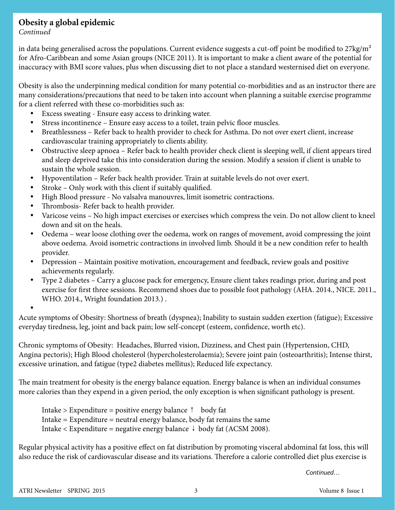#### **Obesity a global epidemic**

*Continued*

in data being generalised across the populations. Current evidence suggests a cut-off point be modified to  $27\text{kg/m}^2$ for Afro-Caribbean and some Asian groups (NICE 2011). It is important to make a client aware of the potential for inaccuracy with BMI score values, plus when discussing diet to not place a standard westernised diet on everyone.

Obesity is also the underpinning medical condition for many potential co-morbidities and as an instructor there are many considerations/precautions that need to be taken into account when planning a suitable exercise programme for a client referred with these co-morbidities such as:

- Excess sweating Ensure easy access to drinking water.
- Stress incontinence Ensure easy access to a toilet, train pelvic floor muscles.
- Breathlessness Refer back to health provider to check for Asthma. Do not over exert client, increase cardiovascular training appropriately to clients ability.
- Obstructive sleep apnoea Refer back to health provider check client is sleeping well, if client appears tired and sleep deprived take this into consideration during the session. Modify a session if client is unable to sustain the whole session.
- • Hypoventilation Refer back health provider. Train at suitable levels do not over exert.
- Stroke Only work with this client if suitably qualified.
- High Blood pressure No valsalva manouvres, limit isometric contractions.
- Thrombosis-Refer back to health provider.
- • Varicose veins No high impact exercises or exercises which compress the vein. Do not allow client to kneel down and sit on the heals.
- Oedema wear loose clothing over the oedema, work on ranges of movement, avoid compressing the joint above oedema. Avoid isometric contractions in involved limb. Should it be a new condition refer to health provider.
- Depression Maintain positive motivation, encouragement and feedback, review goals and positive achievements regularly.
- Type 2 diabetes Carry a glucose pack for emergency, Ensure client takes readings prior, during and post exercise for first three sessions. Recommend shoes due to possible foot pathology (AHA. 2014., NICE. 2011., WHO. 2014., Wright foundation 2013.) .

• 

Acute symptoms of Obesity: Shortness of breath (dyspnea); Inability to sustain sudden exertion (fatigue); Excessive everyday tiredness, leg, joint and back pain; low self-concept (esteem, confidence, worth etc).

Chronic symptoms of Obesity: Headaches, Blurred vision, Dizziness, and Chest pain (Hypertension, CHD, Angina pectoris); High Blood cholesterol (hypercholesterolaemia); Severe joint pain (osteoarthritis); Intense thirst, excessive urination, and fatigue (type2 diabetes mellitus); Reduced life expectancy.

The main treatment for obesity is the energy balance equation. Energy balance is when an individual consumes more calories than they expend in a given period, the only exception is when significant pathology is present.

Intake > Expenditure = positive energy balance  $\uparrow$  body fat Intake = Expenditure = neutral energy balance, body fat remains the same Intake  $\lt$  Expenditure = negative energy balance  $\downarrow$  body fat (ACSM 2008).

Regular physical activity has a positive effect on fat distribution by promoting visceral abdominal fat loss, this will also reduce the risk of cardiovascular disease and its variations. Therefore a calorie controlled diet plus exercise is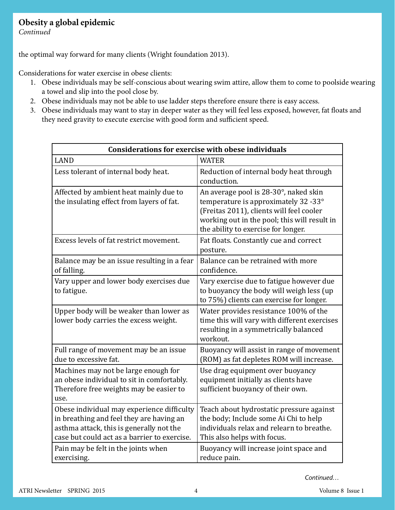#### **Obesity a global epidemic**

*Continued*

the optimal way forward for many clients (Wright foundation 2013).

Considerations for water exercise in obese clients:

- 1. Obese individuals may be self-conscious about wearing swim attire, allow them to come to poolside wearing a towel and slip into the pool close by.
- 2. Obese individuals may not be able to use ladder steps therefore ensure there is easy access.
- 3. Obese individuals may want to stay in deeper water as they will feel less exposed, however, fat floats and they need gravity to execute exercise with good form and sufficient speed.

| <b>Considerations for exercise with obese individuals</b>                                                                                                                                                                 |                                                                                                                                                                                                                  |  |
|---------------------------------------------------------------------------------------------------------------------------------------------------------------------------------------------------------------------------|------------------------------------------------------------------------------------------------------------------------------------------------------------------------------------------------------------------|--|
| <b>LAND</b>                                                                                                                                                                                                               | <b>WATER</b>                                                                                                                                                                                                     |  |
| Less tolerant of internal body heat.                                                                                                                                                                                      | Reduction of internal body heat through<br>conduction.                                                                                                                                                           |  |
| Affected by ambient heat mainly due to<br>the insulating effect from layers of fat.                                                                                                                                       | An average pool is 28-30°, naked skin<br>temperature is approximately 32 -33°<br>(Freitas 2011), clients will feel cooler<br>working out in the pool; this will result in<br>the ability to exercise for longer. |  |
| Excess levels of fat restrict movement.                                                                                                                                                                                   | Fat floats. Constantly cue and correct<br>posture.                                                                                                                                                               |  |
| Balance may be an issue resulting in a fear<br>of falling.                                                                                                                                                                | Balance can be retrained with more<br>confidence.                                                                                                                                                                |  |
| Vary upper and lower body exercises due<br>to fatigue.                                                                                                                                                                    | Vary exercise due to fatigue however due<br>to buoyancy the body will weigh less (up<br>to 75%) clients can exercise for longer.                                                                                 |  |
| Upper body will be weaker than lower as<br>lower body carries the excess weight.                                                                                                                                          | Water provides resistance 100% of the<br>time this will vary with different exercises<br>resulting in a symmetrically balanced<br>workout.                                                                       |  |
| Full range of movement may be an issue<br>due to excessive fat.                                                                                                                                                           | Buoyancy will assist in range of movement<br>(ROM) as fat depletes ROM will increase.                                                                                                                            |  |
| Machines may not be large enough for<br>an obese individual to sit in comfortably.<br>Therefore free weights may be easier to<br>use.                                                                                     | Use drag equipment over buoyancy<br>equipment initially as clients have<br>sufficient buoyancy of their own.                                                                                                     |  |
| Obese individual may experience difficulty<br>in breathing and feel they are having an<br>asthma attack, this is generally not the<br>case but could act as a barrier to exercise.<br>Pain may be felt in the joints when | Teach about hydrostatic pressure against<br>the body; Include some Ai Chi to help<br>individuals relax and relearn to breathe.<br>This also helps with focus.<br>Buoyancy will increase joint space and          |  |
| exercising.                                                                                                                                                                                                               | reduce pain.                                                                                                                                                                                                     |  |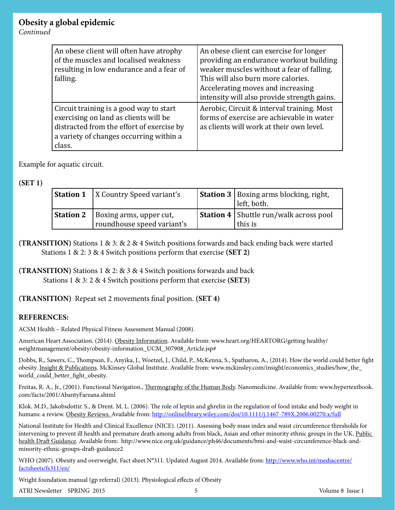#### **Obesity a global epidemic**

*Continued*

| An obese client will often have atrophy<br>of the muscles and localised weakness<br>resulting in low endurance and a fear of<br>falling.                                           | An obese client can exercise for longer<br>providing an endurance workout building<br>weaker muscles without a fear of falling.<br>This will also burn more calories.<br>Accelerating moves and increasing<br>intensity will also provide strength gains. |
|------------------------------------------------------------------------------------------------------------------------------------------------------------------------------------|-----------------------------------------------------------------------------------------------------------------------------------------------------------------------------------------------------------------------------------------------------------|
| Circuit training is a good way to start<br>exercising on land as clients will be<br>distracted from the effort of exercise by<br>a variety of changes occurring within a<br>class. | Aerobic, Circuit & interval training. Most<br>forms of exercise are achievable in water<br>as clients will work at their own level.                                                                                                                       |

Example for aquatic circuit.

#### **(SET 1)**

| <b>Station 1</b>   X Country Speed variant's                           | <b>Station 3</b>   Boxing arms blocking, right,<br>left, both. |
|------------------------------------------------------------------------|----------------------------------------------------------------|
| <b>Station 2</b> Boxing arms, upper cut,<br>roundhouse speed variant's | Station 4   Shuttle run/walk across pool<br>this is            |

**(TRANSITION)** Stations 1 & 3: & 2 & 4 Switch positions forwards and back ending back were started Stations 1 & 2: 3 & 4 Switch positions perform that exercise **(SET 2)**

#### **(TRANSITION)** Stations 1 & 2: & 3 & 4 Switch positions forwards and back Stations 1 & 3: 2 & 4 Switch positions perform that exercise **(SET3)**

#### **(TRANSITION)** Repeat set 2 movements final position. **(SET 4)**

#### **REFERENCES:**

ACSM Health – Related Physical Fitness Assessment Manual (2008).

American Heart Association. (2014). Obesity Information. Available from: www.heart.org/HEARTORG/getting healthy/ weightmanagement/obesity/obesity-information\_UCM\_307908\_Article.jsp#

Dobbs, R., Sawers, C., Thompson, F., Anyika, J., Woetzel, J., Child, P., McKenna, S., Spatharou, A., (2014). How the world could better fight obesity. Insight & Publications. McKinsey Global Institute. Available from: www.mckinsley.com/insight/economics\_studies/how\_the\_ world\_could\_better\_fight\_obesity.

Freitas, R. A., Jr., (2001). Functional Navigation., Thermography of the Human Body. Nanomedicine. Available from: www.hypertextbook. com/facts/2001/AbantyFarzana.shtml

Klok. M.D., Jakobsdottir. S., & Drent. M. L. (2006). The role of leptin and ghrelin in the regulation of food intake and body weight in humans: a review. Obesity Reviews. Available from: http://onlinelibrary.wiley.com/doi/10.1111/j.1467-789X.2006.00270.x/full

National Institute for Health and Clinical Excellence (NICE). (2011). Assessing body mass index and waist circumference thresholds for intervening to prevent ill health and premature death among adults from black, Asian and other minority ethnic groups in the UK. Public health Draft Guidance. Available from: http://www.nice.org.uk/guidance/ph46/documents/bmi-and-waist-circumference-black-andminority-ethnic-groups-draft-guidance2

WHO (2007). Obesity and overweight. Fact sheet N°311. Updated August 2014. Available from: http://www.who.int/mediacentre/ factsheets/fs311/en/

Wright foundation manual (gp referral) (2013). Physiological effects of Obesity

ATRI Newsletter SPRING 2015 5 Volume 8 Issue 1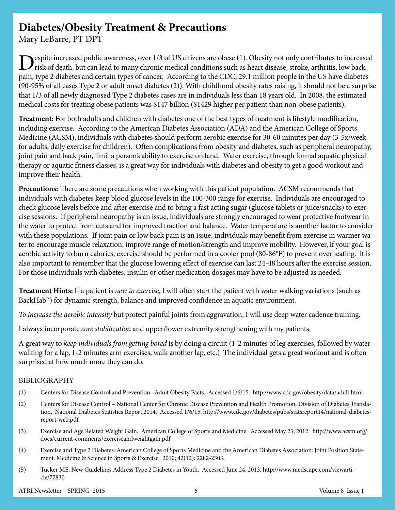### **Diabetes/Obesity Treatment & Precautions**

Mary LeBarre, PT DPT

espite increased public awareness, over 1/3 of US citizens are obese (1). Obesity not only contributes to increased risk of death, but can lead to many chronic medical conditions such as heart disease, stroke, arthritis, low back pain, type 2 diabetes and certain types of cancer. According to the CDC, 29.1 million people in the US have diabetes (90-95% of all cases Type 2 or adult onset diabetes (2)). With childhood obesity rates raising, it should not be a surprise that 1/3 of all newly diagnosed Type 2 diabetes cases are in individuals less than 18 years old. In 2008, the estimated medical costs for treating obese patients was \$147 billion (\$1429 higher per patient than non-obese patients).

**Treatment:** For both adults and children with diabetes one of the best types of treatment is lifestyle modification, including exercise. According to the American Diabetes Association (ADA) and the American College of Sports Medicine (ACSM), individuals with diabetes should perform aerobic exercise for 30-60 minutes per day (3-5x/week for adults, daily exercise for children). Often complications from obesity and diabetes, such as peripheral neuropathy, joint pain and back pain, limit a person's ability to exercise on land. Water exercise, through formal aquatic physical therapy or aquatic fitness classes, is a great way for individuals with diabetes and obesity to get a good workout and improve their health.

**Precautions:** There are some precautions when working with this patient population. ACSM recommends that individuals with diabetes keep blood glucose levels in the 100-300 range for exercise. Individuals are encouraged to check glucose levels before and after exercise and to bring a fast acting sugar (glucose tablets or juice/snacks) to exercise sessions. If peripheral neuropathy is an issue, individuals are strongly encouraged to wear protective footwear in the water to protect from cuts and for improved traction and balance. Water temperature is another factor to consider with these populations. If joint pain or low back pain is an issue, individuals may benefit from exercise in warmer water to encourage muscle relaxation, improve range of motion/strength and improve mobility. However, if your goal is aerobic activity to burn calories, exercise should be performed in a cooler pool (80-86°F) to prevent overheating. It is also important to remember that the glucose lowering effect of exercise can last 24-48 hours after the exercise session. For those individuals with diabetes, insulin or other medication dosages may have to be adjusted as needed.

**Treatment Hints:** If a patient is *new to exercise*, I will often start the patient with water walking variations (such as BackHab™) for dynamic strength, balance and improved confidence in aquatic environment.

*To increase the aerobic intensity* but protect painful joints from aggravation, I will use deep water cadence training.

I always incorporate *core stabilization* and upper/lower extremity strengthening with my patients.

A great way to *keep individuals from getting bored* is by doing a circuit (1-2 minutes of leg exercises, followed by water walking for a lap, 1-2 minutes arm exercises, walk another lap, etc.) The individual gets a great workout and is often surprised at how much more they can do.

#### BIBLIOGRAPHY

- (1) Centers for Disease Control and Prevention. Adult Obesity Facts. Accessed 1/6/15. http://www.cdc.gov/obesity/data/adult.html
- (2) Centers for Disease Control National Center for Chronic Disease Prevention and Health Promotion, Division of Diabetes Translation. National Diabetes Statistics Report,2014. Accessed 1/6/15. http://www.cdc.gov/diabetes/pubs/statsreport14/national-diabetesreport-web.pdf.
- (3) Exercise and Age Related Weight Gain. American College of Sports and Medicine. Accessed May 23, 2012. http://www.acsm.org/ docs/current-comments/exerciseandweightgain.pdf
- (4) Exercise and Type 2 Diabetes: American College of Sports Medicine and the American Diabetes Association: Joint Position Statement. Medicine & Science in Sports & Exercise. 2010; 42(12): 2282-2303.
- (5) Tucker ME. New Guidelines Address Type 2 Diabetes in Youth. Accessed June 24, 2013. http://www.medscape.com/viewarticle/77830

ATRI Newsletter SPRING 2015 6 Volume 8 Issue 1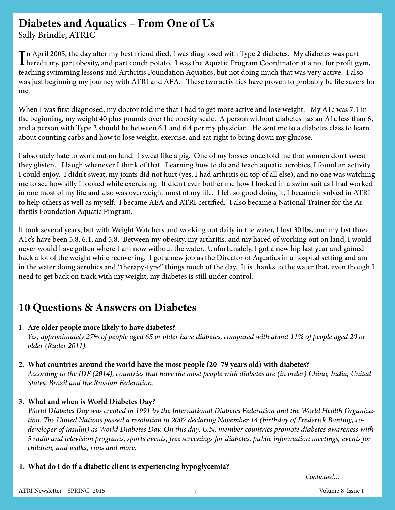### **Diabetes and Aquatics – From One of Us**

Sally Brindle, ATRIC

In April 2005, the day after my best friend died, I was diagnosed with Type 2 diabetes. My diabetes was part<br>hereditary, part obesity, and part couch potato. I was the Aquatic Program Coordinator at a not for profit gym, n April 2005, the day after my best friend died, I was diagnosed with Type 2 diabetes. My diabetes was part teaching swimming lessons and Arthritis Foundation Aquatics, but not doing much that was very active. I also was just beginning my journey with ATRI and AEA. These two activities have proven to probably be life savers for me.

When I was first diagnosed, my doctor told me that I had to get more active and lose weight. My A1c was 7.1 in the beginning, my weight 40 plus pounds over the obesity scale. A person without diabetes has an A1c less than 6, and a person with Type 2 should be between 6.1 and 6.4 per my physician. He sent me to a diabetes class to learn about counting carbs and how to lose weight, exercise, and eat right to bring down my glucose.

I absolutely hate to work out on land. I sweat like a pig. One of my bosses once told me that women don't sweat they glisten. I laugh whenever I think of that. Learning how to do and teach aquatic aerobics, I found an activity I could enjoy. I didn't sweat, my joints did not hurt (yes, I had arthritis on top of all else), and no one was watching me to see how silly I looked while exercising. It didn't ever bother me how I looked in a swim suit as I had worked in one most of my life and also was overweight most of my life. I felt so good doing it, I became involved in ATRI to help others as well as myself. I became AEA and ATRI certified. I also became a National Trainer for the Arthritis Foundation Aquatic Program.

It took several years, but with Weight Watchers and working out daily in the water, I lost 30 lbs, and my last three A1c's have been 5.8, 6.1, and 5.8. Between my obesity, my arthritis, and my hared of working out on land, I would never would have gotten where I am now without the water. Unfortunately, I got a new hip last year and gained back a lot of the weight while recovering. I got a new job as the Director of Aquatics in a hospital setting and am in the water doing aerobics and "therapy-type" things much of the day. It is thanks to the water that, even though I need to get back on track with my weight, my diabetes is still under control.

### **10 Questions & Answers on Diabetes**

1. **Are older people more likely to have diabetes?**

 *Yes, approximately 27% of people aged 65 or older have diabetes, compared with about 11% of people aged 20 or older (Ruder 2011).*

#### **2. What countries around the world have the most people (20–79 years old) with diabetes?**

 *According to the IDF (2014), countries that have the most people with diabetes are (in order) China, India, United States, Brazil and the Russian Federation.*

#### **3. What and when is World Diabetes Day?**

 *World Diabetes Day was created in 1991 by the International Diabetes Federation and the World Health Organization. The United Nations passed a resolution in 2007 declaring November 14 (birthday of Frederick Banting, codeveloper of insulin) as World Diabetes Day. On this day, U.N. member countries promote diabetes awareness with 5 radio and television programs, sports events, free screenings for diabetes, public information meetings, events for children, and walks, runs and more.*

#### **4. What do I do if a diabetic client is experiencing hypoglycemia?**

```
ATRI Newsletter SPRING 2015 7 Volume 8 Issue 1
```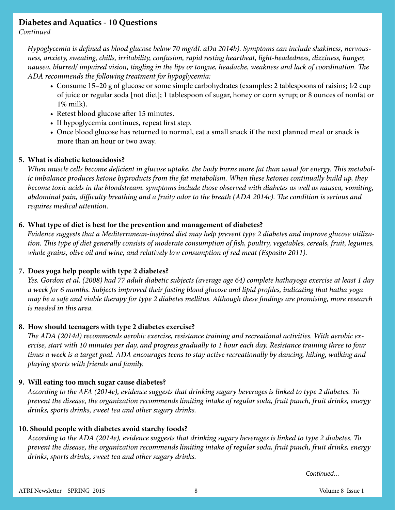#### **Diabetes and Aquatics - 10 Questions**

*Continued*

 *Hypoglycemia is defined as blood glucose below 70 mg/dL aDa 2014b). Symptoms can include shakiness, nervousness, anxiety, sweating, chills, irritability, confusion, rapid resting heartbeat, light-headedness, dizziness, hunger, nausea, blurred/ impaired vision, tingling in the lips or tongue, headache, weakness and lack of coordination. The ADA recommends the following treatment for hypoglycemia:*

- Consume 15–20 g of glucose or some simple carbohydrates (examples: 2 tablespoons of raisins; 1⁄2 cup of juice or regular soda [not diet]; 1 tablespoon of sugar, honey or corn syrup; or 8 ounces of nonfat or 1% milk).
- Retest blood glucose after 15 minutes.
- If hypoglycemia continues, repeat first step.
- Once blood glucose has returned to normal, eat a small snack if the next planned meal or snack is more than an hour or two away.

#### **5. What is diabetic ketoacidosis?**

 *When muscle cells become deficient in glucose uptake, the body burns more fat than usual for energy. This metabolic imbalance produces ketone byproducts from the fat metabolism. When these ketones continually build up, they become toxic acids in the bloodstream. symptoms include those observed with diabetes as well as nausea, vomiting, abdominal pain, difficulty breathing and a fruity odor to the breath (ADA 2014c). The condition is serious and requires medical attention.*

#### **6. What type of diet is best for the prevention and management of diabetes?**

 *Evidence suggests that a Mediterranean-inspired diet may help prevent type 2 diabetes and improve glucose utilization. This type of diet generally consists of moderate consumption of fish, poultry, vegetables, cereals, fruit, legumes, whole grains, olive oil and wine, and relatively low consumption of red meat (Esposito 2011).*

#### **7. Does yoga help people with type 2 diabetes?**

 *Yes. Gordon et al. (2008) had 77 adult diabetic subjects (average age 64) complete hathayoga exercise at least 1 day a week for 6 months. Subjects improved their fasting blood glucose and lipid profiles, indicating that hatha yoga may be a safe and viable therapy for type 2 diabetes mellitus. Although these findings are promising, more research is needed in this area.*

#### **8. How should teenagers with type 2 diabetes exercise?**

 *The ADA (2014d) recommends aerobic exercise, resistance training and recreational activities. With aerobic exercise, start with 10 minutes per day, and progress gradually to 1 hour each day. Resistance training three to four times a week is a target goal. ADA encourages teens to stay active recreationally by dancing, hiking, walking and playing sports with friends and family.*

#### **9. Will eating too much sugar cause diabetes?**

 *According to the AFA (2014e), evidence suggests that drinking sugary beverages is linked to type 2 diabetes. To prevent the disease, the organization recommends limiting intake of regular soda, fruit punch, fruit drinks, energy drinks, sports drinks, sweet tea and other sugary drinks.*

#### **10. Should people with diabetes avoid starchy foods?**

 *According to the ADA (2014e), evidence suggests that drinking sugary beverages is linked to type 2 diabetes. To prevent the disease, the organization recommends limiting intake of regular soda, fruit punch, fruit drinks, energy drinks, sports drinks, sweet tea and other sugary drinks.*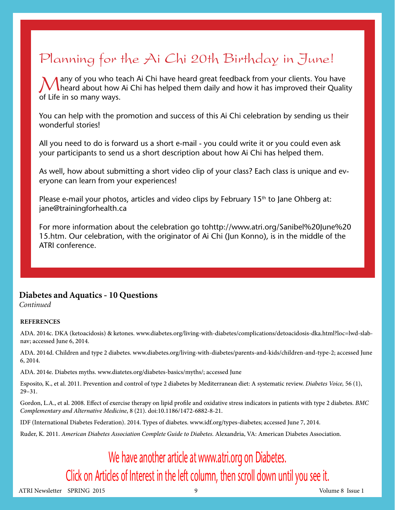### Planning for the Ai Chi 20th Birthday in June!

Many of you who teach Ai Chi have heard great feedback from your clients. You have<br>heard about how Ai Chi has helped them daily and how it has improved their Quality of Life in so many ways.

You can help with the promotion and success of this Ai Chi celebration by sending us their wonderful stories!

All you need to do is forward us a short e-mail - you could write it or you could even ask your participants to send us a short description about how Ai Chi has helped them.

As well, how about submitting a short video clip of your class? Each class is unique and everyone can learn from your experiences!

Please e-mail your photos, articles and video clips by February  $15<sup>th</sup>$  to Jane Ohberg at: jane@trainingforhealth.ca

For more information about the celebration go tohttp://www.atri.org/Sanibel%20June%20 15.htm. Our celebration, with the originator of Ai Chi (Jun Konno), is in the middle of the ATRI conference.

#### **Diabetes and Aquatics - 10 Questions**

*Continued*

#### **REFERENCES**

ADA. 2014c. DKA (ketoacidosis) & ketones. www.diabetes.org/living-with-diabetes/complications/detoacidosis-dka.html?loc=lwd-slabnav; accessed June 6, 2014.

ADA. 2014d. Children and type 2 diabetes. www.diabetes.org/living-with-diabetes/parents-and-kids/children-and-type-2; accessed June 6, 2014.

ADA. 2014e. Diabetes myths. www.diatetes.org/diabetes-basics/myths/; accessed June

Esposito, K., et al. 2011. Prevention and control of type 2 diabetes by Mediterranean diet: A systematic review. *Diabetes Voice,* 56 (1), 29–31.

Gordon, L.A., et al. 2008. Effect of exercise therapy on lipid profile and oxidative stress indicators in patients with type 2 diabetes. *BMC Complementary and Alternative Medicine*, 8 (21). doi:10.1186/1472-6882-8-21.

IDF (International Diabetes Federation). 2014. Types of diabetes. www.idf.org/types-diabetes; accessed June 7, 2014.

Ruder, K. 2011. *American Diabetes Association Complete Guide to Diabetes*. Alexandria, VA: American Diabetes Association.

### We have another article at www.atri.org on Diabetes.

Click on Articles of Interest in the left column, then scroll down until you see it.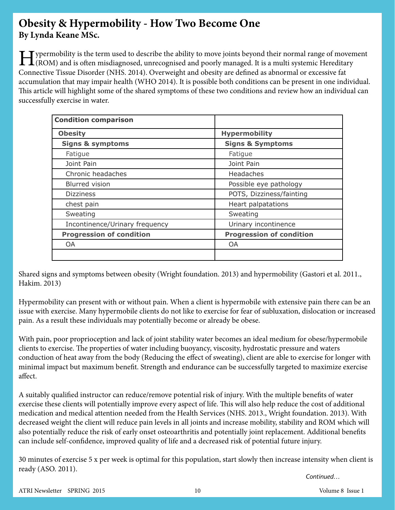### **Obesity & Hypermobility - How Two Become One By Lynda Keane MSc***.*

 $\prod_{\text{ROM}}$  and is often misdiagnosed, unrecognised and poorly managed. It is a multi systemic Hereditary  $\Gamma$  and is often misdiagnosed, unrecognised and poorly managed. It is a multi systemic Hereditary  $\Gamma$  is a multi Connective Tissue Disorder (NHS. 2014). Overweight and obesity are defined as abnormal or excessive fat accumulation that may impair health (WHO 2014). It is possible both conditions can be present in one individual. This article will highlight some of the shared symptoms of these two conditions and review how an individual can successfully exercise in water.

| <b>Condition comparison</b>     |                                 |
|---------------------------------|---------------------------------|
| <b>Obesity</b>                  | <b>Hypermobility</b>            |
| <b>Signs &amp; symptoms</b>     | <b>Signs &amp; Symptoms</b>     |
| Fatigue                         | Fatigue                         |
| Joint Pain                      | Joint Pain                      |
| Chronic headaches               | Headaches                       |
| <b>Blurred vision</b>           | Possible eye pathology          |
| <b>Dizziness</b>                | POTS, Dizziness/fainting        |
| chest pain                      | Heart palpatations              |
| Sweating                        | Sweating                        |
| Incontinence/Urinary frequency  | Urinary incontinence            |
| <b>Progression of condition</b> | <b>Progression of condition</b> |
| OA                              | OA                              |
|                                 |                                 |

Shared signs and symptoms between obesity (Wright foundation. 2013) and hypermobility (Gastori et al. 2011., Hakim. 2013)

Hypermobility can present with or without pain. When a client is hypermobile with extensive pain there can be an issue with exercise. Many hypermobile clients do not like to exercise for fear of subluxation, dislocation or increased pain. As a result these individuals may potentially become or already be obese.

With pain, poor proprioception and lack of joint stability water becomes an ideal medium for obese/hypermobile clients to exercise. The properties of water including buoyancy, viscosity, hydrostatic pressure and waters conduction of heat away from the body (Reducing the effect of sweating), client are able to exercise for longer with minimal impact but maximum benefit. Strength and endurance can be successfully targeted to maximize exercise affect.

A suitably qualified instructor can reduce/remove potential risk of injury. With the multiple benefits of water exercise these clients will potentially improve every aspect of life. This will also help reduce the cost of additional medication and medical attention needed from the Health Services (NHS. 2013., Wright foundation. 2013). With decreased weight the client will reduce pain levels in all joints and increase mobility, stability and ROM which will also potentially reduce the risk of early onset osteoarthritis and potentially joint replacement. Additional benefits can include self-confidence, improved quality of life and a decreased risk of potential future injury.

30 minutes of exercise 5 x per week is optimal for this population, start slowly then increase intensity when client is ready (ASO. 2011).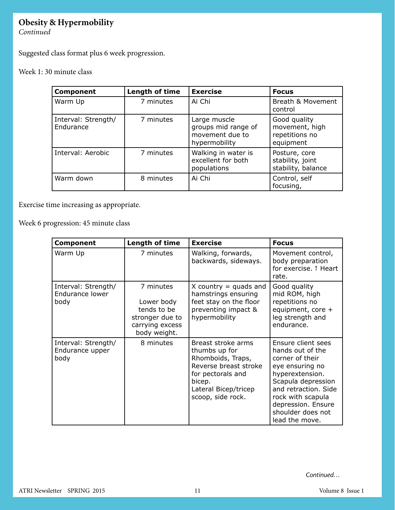### **Obesity & Hypermobility**

*Continued*

Suggested class format plus 6 week progression.

#### Week 1: 30 minute class

| <b>Component</b>                 | Length of time | <b>Exercise</b>                                                         | <b>Focus</b>                                                  |
|----------------------------------|----------------|-------------------------------------------------------------------------|---------------------------------------------------------------|
| Warm Up                          | 7 minutes      | Ai Chi                                                                  | Breath & Movement<br>control                                  |
| Interval: Strength/<br>Endurance | 7 minutes      | Large muscle<br>groups mid range of<br>movement due to<br>hypermobility | Good quality<br>movement, high<br>repetitions no<br>equipment |
| Interval: Aerobic                | 7 minutes      | Walking in water is<br>excellent for both<br>populations                | Posture, core<br>stability, joint<br>stability, balance       |
| Warm down                        | 8 minutes      | Ai Chi                                                                  | Control, self<br>focusing,                                    |

Exercise time increasing as appropriate.

Week 6 progression: 45 minute class

| <b>Component</b>                                      | Length of time                                                                               | <b>Exercise</b>                                                                                                                                               | <b>Focus</b>                                                                                                                                                                                                                    |
|-------------------------------------------------------|----------------------------------------------------------------------------------------------|---------------------------------------------------------------------------------------------------------------------------------------------------------------|---------------------------------------------------------------------------------------------------------------------------------------------------------------------------------------------------------------------------------|
| Warm Up                                               | 7 minutes                                                                                    | Walking, forwards,<br>backwards, sideways.                                                                                                                    | Movement control,<br>body preparation<br>for exercise. 1 Heart<br>rate.                                                                                                                                                         |
| Interval: Strength/<br><b>Endurance lower</b><br>body | 7 minutes<br>Lower body<br>tends to be<br>stronger due to<br>carrying excess<br>body weight. | X country $=$ quads and<br>hamstrings ensuring<br>feet stay on the floor<br>preventing impact &<br>hypermobility                                              | Good quality<br>mid ROM, high<br>repetitions no<br>equipment, core +<br>leg strength and<br>endurance.                                                                                                                          |
| Interval: Strength/<br>Endurance upper<br>body        | 8 minutes                                                                                    | Breast stroke arms<br>thumbs up for<br>Rhomboids, Traps,<br>Reverse breast stroke<br>for pectorals and<br>bicep.<br>Lateral Bicep/tricep<br>scoop, side rock. | Ensure client sees<br>hands out of the<br>corner of their<br>eye ensuring no<br>hyperextension.<br>Scapula depression<br>and retraction. Side<br>rock with scapula<br>depression. Ensure<br>shoulder does not<br>lead the move. |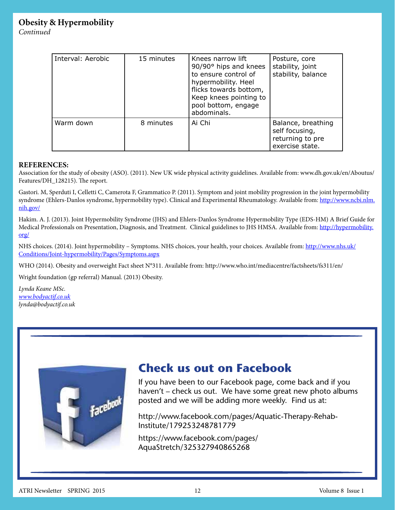#### **Obesity & Hypermobility**

*Continued*

| Interval: Aerobic | 15 minutes | Knees narrow lift<br>90/90° hips and knees<br>to ensure control of<br>hypermobility. Heel<br>flicks towards bottom,<br>Keep knees pointing to<br>pool bottom, engage<br>abdominals. | Posture, core<br>stability, joint<br>stability, balance                     |
|-------------------|------------|-------------------------------------------------------------------------------------------------------------------------------------------------------------------------------------|-----------------------------------------------------------------------------|
| Warm down         | 8 minutes  | Ai Chi                                                                                                                                                                              | Balance, breathing<br>self focusing,<br>returning to pre<br>exercise state. |

#### **REFERENCES:**

Association for the study of obesity (ASO). (2011). New UK wide physical activity guidelines. Available from: www.dh.gov.uk/en/Aboutus/ Features/DH\_128215). The report.

Gastori. M, Sperduti I, Celletti C, Camerota F, Grammatico P. (2011). Symptom and joint mobility progression in the joint hypermobility syndrome (Ehlers-Danlos syndrome, hypermobility type). Clinical and Experimental Rheumatology. Available from: http://www.ncbi.nlm. nih.gov/

Hakim. A. J. (2013). Joint Hypermobility Syndrome (JHS) and Ehlers-Danlos Syndrome Hypermobility Type (EDS-HM) A Brief Guide for Medical Professionals on Presentation, Diagnosis, and Treatment. Clinical guidelines to JHS HMSA. Available from: http://hypermobility. org/

NHS choices. (2014). Joint hypermobility – Symptoms. NHS choices, your health, your choices. Available from: http://www.nhs.uk/ Conditions/Joint-hypermobility/Pages/Symptoms.aspx

WHO (2014). Obesity and overweight Fact sheet N°311. Available from: http://www.who.int/mediacentre/factsheets/fs311/en/

Wright foundation (gp referral) Manual. (2013) Obesity.

*Lynda Keane MSc. www.bodyactif.co.uk lynda@bodyactif.co.uk*



### **Check us out on Facebook**

If you have been to our Facebook page, come back and if you haven't – check us out. We have some great new photo albums posted and we will be adding more weekly. Find us at:

http://www.facebook.com/pages/Aquatic-Therapy-Rehab-Institute/179253248781779

https://www.facebook.com/pages/ AquaStretch/325327940865268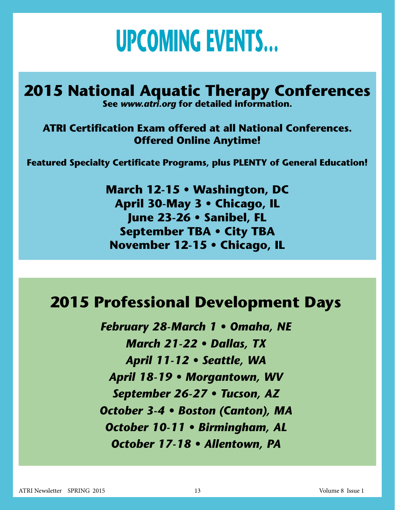## **UPCOMING EVENTS…**

**2015 National Aquatic Therapy Conferences See** *www.atri.org* **for detailed information.**

**ATRI Certification Exam offered at all National Conferences. Offered Online Anytime!**

**Featured Specialty Certificate Programs, plus PLENTY of General Education!**

**March 12-15 • Washington, DC April 30-May 3 • Chicago, IL June 23-26 • Sanibel, FL September TBA • City TBA November 12-15 • Chicago, IL**

### **2015 Professional Development Days**

*February 28-March 1 • Omaha, NE March 21-22 • Dallas, TX April 11-12 • Seattle, WA April 18-19 • Morgantown, WV September 26-27 • Tucson, AZ October 3-4 • Boston (Canton), MA October 10-11 • Birmingham, AL October 17-18 • Allentown, PA*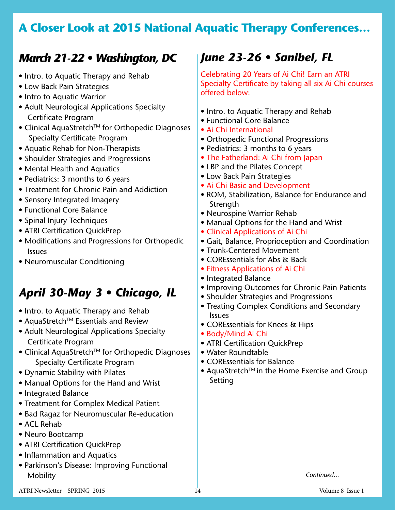### **A Closer Look at 2015 National Aquatic Therapy Conferences…**

### *March 21-22 • Washington, DC*

- Intro. to Aquatic Therapy and Rehab
- Low Back Pain Strategies
- Intro to Aquatic Warrior
- Adult Neurological Applications Specialty Certificate Program
- Clinical AquaStretch™ for Orthopedic Diagnoses Specialty Certificate Program
- Aquatic Rehab for Non-Therapists
- Shoulder Strategies and Progressions
- Mental Health and Aquatics
- Pediatrics: 3 months to 6 years
- Treatment for Chronic Pain and Addiction
- Sensory Integrated Imagery
- Functional Core Balance
- Spinal Injury Techniques
- ATRI Certification QuickPrep
- Modifications and Progressions for Orthopedic Issues
- Neuromuscular Conditioning

### *April 30-May 3 • Chicago, IL*

- Intro. to Aquatic Therapy and Rehab
- AquaStretch™ Essentials and Review
- Adult Neurological Applications Specialty Certificate Program
- Clinical AquaStretch™ for Orthopedic Diagnoses Specialty Certificate Program
- Dynamic Stability with Pilates
- Manual Options for the Hand and Wrist
- Integrated Balance
- Treatment for Complex Medical Patient
- Bad Ragaz for Neuromuscular Re-education
- ACL Rehab
- Neuro Bootcamp
- ATRI Certification QuickPrep
- Inflammation and Aquatics
- Parkinson's Disease: Improving Functional **Mobility**

### *June 23-26 • Sanibel, FL*

Celebrating 20 Years of Ai Chi! Earn an ATRI Specialty Certificate by taking all six Ai Chi courses offered below:

- Intro. to Aquatic Therapy and Rehab
- Functional Core Balance
- Ai Chi International
- Orthopedic Functional Progressions
- Pediatrics: 3 months to 6 years
- The Fatherland: Ai Chi from Japan
- LBP and the Pilates Concept
- Low Back Pain Strategies
- Ai Chi Basic and Development
- ROM, Stabilization, Balance for Endurance and Strength
- Neurospine Warrior Rehab
- Manual Options for the Hand and Wrist
- Clinical Applications of Ai Chi
- Gait, Balance, Proprioception and Coordination
- Trunk-Centered Movement
- COREssentials for Abs & Back
- Fitness Applications of Ai Chi
- Integrated Balance
- Improving Outcomes for Chronic Pain Patients
- Shoulder Strategies and Progressions
- Treating Complex Conditions and Secondary Issues
- COREssentials for Knees & Hips
- Body/Mind Ai Chi
- ATRI Certification QuickPrep
- Water Roundtable
- COREssentials for Balance
- AquaStretch™ in the Home Exercise and Group Setting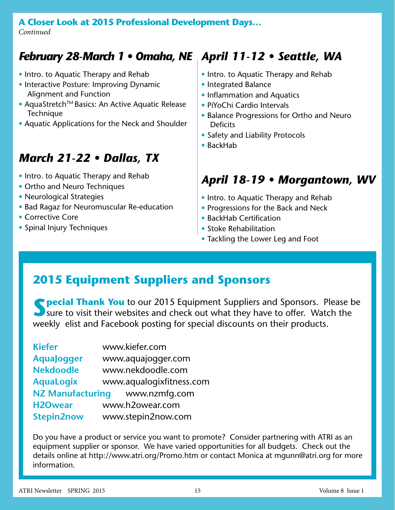#### **A Closer Look at 2015 Professional Development Days…** *Continued*

### *February 28-March 1 • Omaha, NE April 11-12 • Seattle, WA*

- Intro. to Aquatic Therapy and Rehab
- Interactive Posture: Improving Dynamic Alignment and Function
- AquaStretch™ Basics: An Active Aquatic Release Technique
- Aquatic Applications for the Neck and Shoulder

### *March 21-22 • Dallas, TX*

- Intro. to Aquatic Therapy and Rehab
- Ortho and Neuro Techniques
- Neurological Strategies
- Bad Ragaz for Neuromuscular Re-education
- Corrective Core
- Spinal Injury Techniques
- Intro. to Aquatic Therapy and Rehab
- Integrated Balance
- Inflammation and Aquatics
- PiYoChi Cardio Intervals
- Balance Progressions for Ortho and Neuro **Deficits**
- Safety and Liability Protocols
- BackHab

### *April 18-19 • Morgantown, WV*

- Intro. to Aquatic Therapy and Rehab
- Progressions for the Back and Neck
- BackHab Certification
- Stoke Rehabilitation
- Tackling the Lower Leg and Foot

### **2015 Equipment Suppliers and Sponsors**

**Special Thank You** to our 2015 Equipment Suppliers and Sponsors. Please be Sure to visit their websites and check out what they have to offer. Watch the weekly elist and Facebook posting for special discounts on their products.

| <b>Kiefer</b>     | www.kiefer.com                 |
|-------------------|--------------------------------|
| <b>AquaJogger</b> | www.aquajogger.com             |
| <b>Nekdoodle</b>  | www.nekdoodle.com              |
| <b>AquaLogix</b>  | www.aqualogixfitness.com       |
|                   | NZ Manufacturing www.nzmfg.com |
| <b>H2Owear</b>    | www.h2owear.com                |
| <b>Stepin2now</b> | www.stepin2now.com             |

Do you have a product or service you want to promote? Consider partnering with ATRI as an equipment supplier or sponsor. We have varied opportunities for all budgets. Check out the details online at http://www.atri.org/Promo.htm or contact Monica at mgunn@atri.org for more information.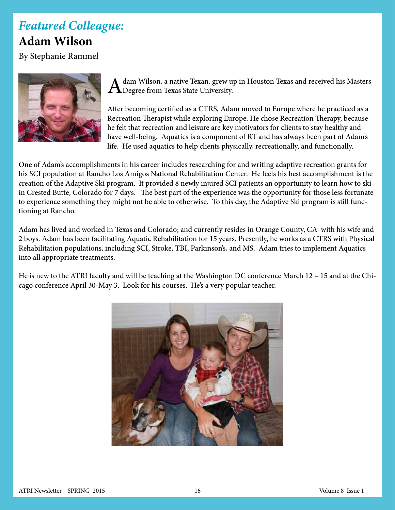### *Featured Colleague:* **Adam Wilson**

By Stephanie Rammel



dam Wilson, a native Texan, grew up in Houston Texas and received his Masters  $\Lambda$ Degree from Texas State University.

After becoming certified as a CTRS, Adam moved to Europe where he practiced as a Recreation Therapist while exploring Europe. He chose Recreation Therapy, because he felt that recreation and leisure are key motivators for clients to stay healthy and have well-being. Aquatics is a component of RT and has always been part of Adam's life. He used aquatics to help clients physically, recreationally, and functionally.

One of Adam's accomplishments in his career includes researching for and writing adaptive recreation grants for his SCI population at Rancho Los Amigos National Rehabilitation Center. He feels his best accomplishment is the creation of the Adaptive Ski program. It provided 8 newly injured SCI patients an opportunity to learn how to ski in Crested Butte, Colorado for 7 days. The best part of the experience was the opportunity for those less fortunate to experience something they might not be able to otherwise. To this day, the Adaptive Ski program is still functioning at Rancho.

Adam has lived and worked in Texas and Colorado; and currently resides in Orange County, CA with his wife and 2 boys. Adam has been facilitating Aquatic Rehabilitation for 15 years. Presently, he works as a CTRS with Physical Rehabilitation populations, including SCI, Stroke, TBI, Parkinson's, and MS. Adam tries to implement Aquatics into all appropriate treatments.

He is new to the ATRI faculty and will be teaching at the Washington DC conference March 12 – 15 and at the Chicago conference April 30-May 3. Look for his courses. He's a very popular teacher.

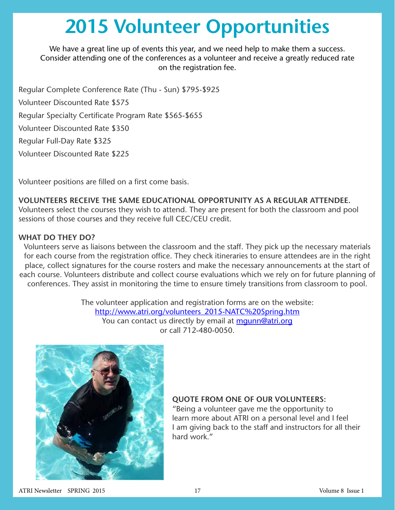## **2015 Volunteer Opportunities**

We have a great line up of events this year, and we need help to make them a success. Consider attending one of the conferences as a volunteer and receive a greatly reduced rate on the registration fee.

Regular Complete Conference Rate (Thu - Sun) \$795-\$925 Volunteer Discounted Rate \$575 Regular Specialty Certificate Program Rate \$565-\$655 Volunteer Discounted Rate \$350 Regular Full-Day Rate \$325 Volunteer Discounted Rate \$225

Volunteer positions are filled on a first come basis.

### **VOLUNTEERS RECEIVE THE SAME EDUCATIONAL OPPORTUNITY AS A REGULAR ATTENDEE.**

Volunteers select the courses they wish to attend. They are present for both the classroom and pool sessions of those courses and they receive full CEC/CEU credit.

#### **WHAT DO THEY DO?**

Volunteers serve as liaisons between the classroom and the staff. They pick up the necessary materials for each course from the registration office. They check itineraries to ensure attendees are in the right place, collect signatures for the course rosters and make the necessary announcements at the start of each course. Volunteers distribute and collect course evaluations which we rely on for future planning of conferences. They assist in monitoring the time to ensure timely transitions from classroom to pool.

> The volunteer application and registration forms are on the website: http://www.atri.org/volunteers\_2015-NATC%20Spring.htm You can contact us directly by email at mqunn@atri.org or call 712-480-0050.



#### **QUOTE FROM ONE OF OUR VOLUNTEERS:**

"Being a volunteer gave me the opportunity to learn more about ATRI on a personal level and I feel I am giving back to the staff and instructors for all their hard work."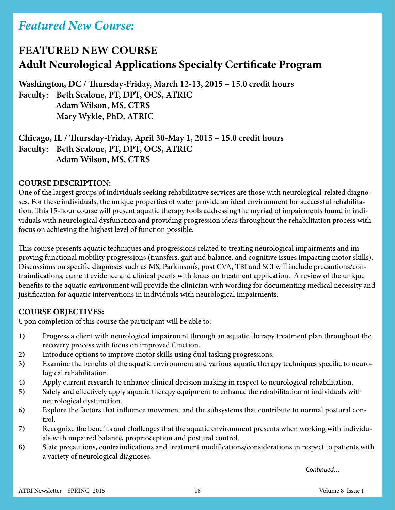### *Featured New Course:*

### **FEATURED NEW COURSE Adult Neurological Applications Specialty Certificate Program**

**Washington, DC / Thursday-Friday, March 12-13, 2015 – 15.0 credit hours Faculty: Beth Scalone, PT, DPT, OCS, ATRIC Adam Wilson, MS, CTRS** 

 **Mary Wykle, PhD, ATRIC** 

**Chicago, IL / Thursday-Friday, April 30-May 1, 2015 – 15.0 credit hours Faculty: Beth Scalone, PT, DPT, OCS, ATRIC Adam Wilson, MS, CTRS**

#### **COURSE DESCRIPTION:**

One of the largest groups of individuals seeking rehabilitative services are those with neurological-related diagnoses. For these individuals, the unique properties of water provide an ideal environment for successful rehabilitation. This 15-hour course will present aquatic therapy tools addressing the myriad of impairments found in individuals with neurological dysfunction and providing progression ideas throughout the rehabilitation process with focus on achieving the highest level of function possible.

This course presents aquatic techniques and progressions related to treating neurological impairments and improving functional mobility progressions (transfers, gait and balance, and cognitive issues impacting motor skills). Discussions on specific diagnoses such as MS, Parkinson's, post CVA, TBI and SCI will include precautions/contraindications, current evidence and clinical pearls with focus on treatment application. A review of the unique benefits to the aquatic environment will provide the clinician with wording for documenting medical necessity and justification for aquatic interventions in individuals with neurological impairments.

#### **COURSE OBJECTIVES:**

Upon completion of this course the participant will be able to:

- 1) Progress a client with neurological impairment through an aquatic therapy treatment plan throughout the recovery process with focus on improved function.
- 2) Introduce options to improve motor skills using dual tasking progressions.
- 3) Examine the benefits of the aquatic environment and various aquatic therapy techniques specific to neurological rehabilitation.
- 4) Apply current research to enhance clinical decision making in respect to neurological rehabilitation.
- 5) Safely and effectively apply aquatic therapy equipment to enhance the rehabilitation of individuals with neurological dysfunction.
- 6) Explore the factors that influence movement and the subsystems that contribute to normal postural control.
- 7) Recognize the benefits and challenges that the aquatic environment presents when working with individuals with impaired balance, proprioception and postural control.
- 8) State precautions, contraindications and treatment modifications/considerations in respect to patients with a variety of neurological diagnoses.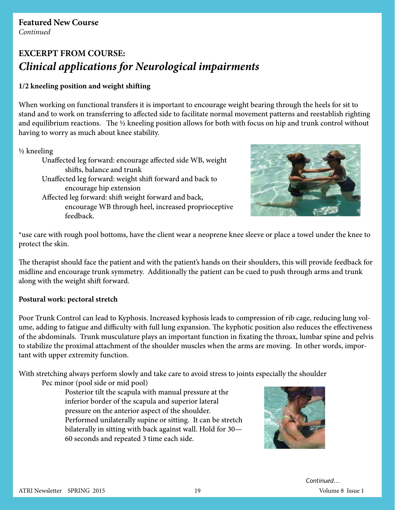### **EXCERPT FROM COURSE:** *Clinical applications for Neurological impairments*

#### **1/2 kneeling position and weight shifting**

When working on functional transfers it is important to encourage weight bearing through the heels for sit to stand and to work on transferring to affected side to facilitate normal movement patterns and reestablish righting and equilibrium reactions. The ½ kneeling position allows for both with focus on hip and trunk control without having to worry as much about knee stability.

½ kneeling

Unaffected leg forward: encourage affected side WB, weight shifts, balance and trunk Unaffected leg forward: weight shift forward and back to encourage hip extension Affected leg forward: shift weight forward and back, encourage WB through heel, increased proprioceptive feedback.



\*use care with rough pool bottoms, have the client wear a neoprene knee sleeve or place a towel under the knee to protect the skin.

The therapist should face the patient and with the patient's hands on their shoulders, this will provide feedback for midline and encourage trunk symmetry. Additionally the patient can be cued to push through arms and trunk along with the weight shift forward.

#### **Postural work: pectoral stretch**

Poor Trunk Control can lead to Kyphosis. Increased kyphosis leads to compression of rib cage, reducing lung volume, adding to fatigue and difficulty with full lung expansion. The kyphotic position also reduces the effectiveness of the abdominals. Trunk musculature plays an important function in fixating the throax, lumbar spine and pelvis to stabilize the proximal attachment of the shoulder muscles when the arms are moving. In other words, important with upper extremity function.

With stretching always perform slowly and take care to avoid stress to joints especially the shoulder Pec minor (pool side or mid pool)

 Posterior tilt the scapula with manual pressure at the inferior border of the scapula and superior lateral pressure on the anterior aspect of the shoulder. Performed unilaterally supine or sitting. It can be stretch bilaterally in sitting with back against wall. Hold for 30— 60 seconds and repeated 3 time each side.

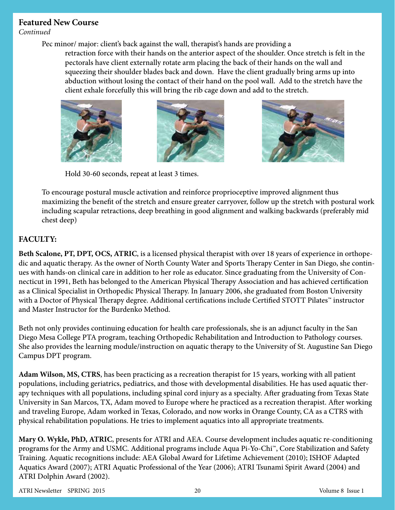#### **Featured New Course**

*Continued*

Pec minor/ major: client's back against the wall, therapist's hands are providing a

 retraction force with their hands on the anterior aspect of the shoulder. Once stretch is felt in the pectorals have client externally rotate arm placing the back of their hands on the wall and squeezing their shoulder blades back and down. Have the client gradually bring arms up into abduction without losing the contact of their hand on the pool wall. Add to the stretch have the client exhale forcefully this will bring the rib cage down and add to the stretch.







Hold 30-60 seconds, repeat at least 3 times.

To encourage postural muscle activation and reinforce proprioceptive improved alignment thus maximizing the benefit of the stretch and ensure greater carryover, follow up the stretch with postural work including scapular retractions, deep breathing in good alignment and walking backwards (preferably mid chest deep)

#### **FACULTY:**

**Beth Scalone, PT, DPT, OCS, ATRIC**, is a licensed physical therapist with over 18 years of experience in orthopedic and aquatic therapy. As the owner of North County Water and Sports Therapy Center in San Diego, she continues with hands-on clinical care in addition to her role as educator. Since graduating from the University of Connecticut in 1991, Beth has belonged to the American Physical Therapy Association and has achieved certification as a Clinical Specialist in Orthopedic Physical Therapy. In January 2006, she graduated from Boston University with a Doctor of Physical Therapy degree. Additional certifications include Certified STOTT Pilates™ instructor and Master Instructor for the Burdenko Method.

Beth not only provides continuing education for health care professionals, she is an adjunct faculty in the San Diego Mesa College PTA program, teaching Orthopedic Rehabilitation and Introduction to Pathology courses. She also provides the learning module/instruction on aquatic therapy to the University of St. Augustine San Diego Campus DPT program.

**Adam Wilson, MS, CTRS**, has been practicing as a recreation therapist for 15 years, working with all patient populations, including geriatrics, pediatrics, and those with developmental disabilities. He has used aquatic therapy techniques with all populations, including spinal cord injury as a specialty. After graduating from Texas State University in San Marcos, TX, Adam moved to Europe where he practiced as a recreation therapist. After working and traveling Europe, Adam worked in Texas, Colorado, and now works in Orange County, CA as a CTRS with physical rehabilitation populations. He tries to implement aquatics into all appropriate treatments.

**Mary O. Wykle, PhD, ATRIC**, presents for ATRI and AEA. Course development includes aquatic re-conditioning programs for the Army and USMC. Additional programs include Aqua Pi-Yo-Chi™, Core Stabilization and Safety Training. Aquatic recognitions include: AEA Global Award for Lifetime Achievement (2010); ISHOF Adapted Aquatics Award (2007); ATRI Aquatic Professional of the Year (2006); ATRI Tsunami Spirit Award (2004) and ATRI Dolphin Award (2002).

ATRI Newsletter SPRING 2015 20 Volume 8 Issue 1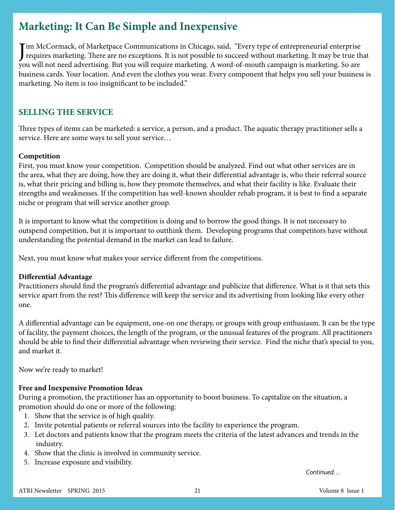### **Marketing: It Can Be Simple and Inexpensive**

J im McCormack, of Marketpace Communications in Chicago, said, "Every type of entrepreneurial enterprise requires marketing. There are no exceptions. It is not possible to succeed without marketing. It may be true that you will not need advertising. But you will require marketing. A word-of-mouth campaign is marketing. So are business cards. Your location. And even the clothes you wear. Every component that helps you sell your business is marketing. No item is too insignificant to be included."

#### **SELLING THE SERVICE**

Three types of items can be marketed: a service, a person, and a product. The aquatic therapy practitioner sells a service. Here are some ways to sell your service…

#### **Competition**

First, you must know your competition. Competition should be analyzed. Find out what other services are in the area, what they are doing, how they are doing it, what their differential advantage is, who their referral source is, what their pricing and billing is, how they promote themselves, and what their facility is like. Evaluate their strengths and weaknesses. If the competition has well-known shoulder rehab program, it is best to find a separate niche or program that will service another group.

It is important to know what the competition is doing and to borrow the good things. It is not necessary to outspend competition, but it is important to outthink them. Developing programs that competitors have without understanding the potential demand in the market can lead to failure.

Next, you must know what makes your service different from the competitions.

#### **Differential Advantage**

Practitioners should find the program's differential advantage and publicize that difference. What is it that sets this service apart from the rest? This difference will keep the service and its advertising from looking like every other one.

A differential advantage can be equipment, one-on one therapy, or groups with group enthusiasm. It can be the type of facility, the payment choices, the length of the program, or the unusual features of the program. All practitioners should be able to find their differential advantage when reviewing their service. Find the niche that's special to you, and market it.

Now we're ready to market!

#### **Free and Inexpensive Promotion Ideas**

During a promotion, the practitioner has an opportunity to boost business. To capitalize on the situation, a promotion should do one or more of the following:

- 1. Show that the service is of high quality.
- 2. Invite potential patients or referral sources into the facility to experience the program.
- 3. Let doctors and patients know that the program meets the criteria of the latest advances and trends in the industry.
- 4. Show that the clinic is involved in community service.
- 5. Increase exposure and visibility.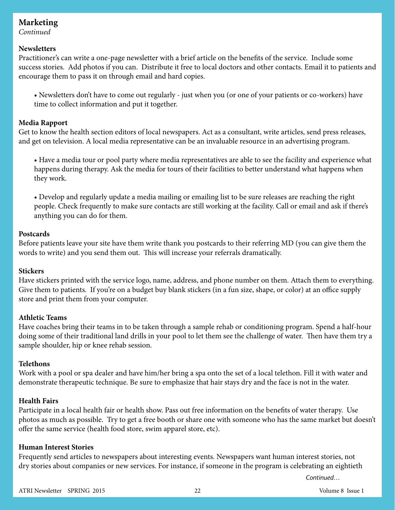#### **Marketing**

*Continued*

#### **Newsletters**

Practitioner's can write a one-page newsletter with a brief article on the benefits of the service. Include some success stories. Add photos if you can. Distribute it free to local doctors and other contacts. Email it to patients and encourage them to pass it on through email and hard copies.

• Newsletters don't have to come out regularly - just when you (or one of your patients or co-workers) have time to collect information and put it together.

#### **Media Rapport**

Get to know the health section editors of local newspapers. Act as a consultant, write articles, send press releases, and get on television. A local media representative can be an invaluable resource in an advertising program.

• Have a media tour or pool party where media representatives are able to see the facility and experience what happens during therapy. Ask the media for tours of their facilities to better understand what happens when they work.

• Develop and regularly update a media mailing or emailing list to be sure releases are reaching the right people. Check frequently to make sure contacts are still working at the facility. Call or email and ask if there's anything you can do for them.

#### **Postcards**

Before patients leave your site have them write thank you postcards to their referring MD (you can give them the words to write) and you send them out. This will increase your referrals dramatically.

#### **Stickers**

Have stickers printed with the service logo, name, address, and phone number on them. Attach them to everything. Give them to patients. If you're on a budget buy blank stickers (in a fun size, shape, or color) at an office supply store and print them from your computer.

#### **Athletic Teams**

Have coaches bring their teams in to be taken through a sample rehab or conditioning program. Spend a half-hour doing some of their traditional land drills in your pool to let them see the challenge of water. Then have them try a sample shoulder, hip or knee rehab session.

#### **Telethons**

Work with a pool or spa dealer and have him/her bring a spa onto the set of a local telethon. Fill it with water and demonstrate therapeutic technique. Be sure to emphasize that hair stays dry and the face is not in the water.

#### **Health Fairs**

Participate in a local health fair or health show. Pass out free information on the benefits of water therapy. Use photos as much as possible. Try to get a free booth or share one with someone who has the same market but doesn't offer the same service (health food store, swim apparel store, etc).

#### **Human Interest Stories**

Frequently send articles to newspapers about interesting events. Newspapers want human interest stories, not dry stories about companies or new services. For instance, if someone in the program is celebrating an eightieth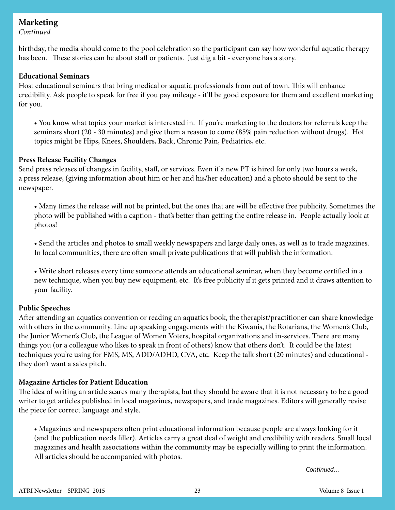#### **Marketing**

*Continued*

birthday, the media should come to the pool celebration so the participant can say how wonderful aquatic therapy has been. These stories can be about staff or patients. Just dig a bit - everyone has a story.

#### **Educational Seminars**

Host educational seminars that bring medical or aquatic professionals from out of town. This will enhance credibility. Ask people to speak for free if you pay mileage - it'll be good exposure for them and excellent marketing for you.

• You know what topics your market is interested in. If you're marketing to the doctors for referrals keep the seminars short (20 - 30 minutes) and give them a reason to come (85% pain reduction without drugs). Hot topics might be Hips, Knees, Shoulders, Back, Chronic Pain, Pediatrics, etc.

#### **Press Release Facility Changes**

Send press releases of changes in facility, staff, or services. Even if a new PT is hired for only two hours a week, a press release, (giving information about him or her and his/her education) and a photo should be sent to the newspaper.

• Many times the release will not be printed, but the ones that are will be effective free publicity. Sometimes the photo will be published with a caption - that's better than getting the entire release in. People actually look at photos!

• Send the articles and photos to small weekly newspapers and large daily ones, as well as to trade magazines. In local communities, there are often small private publications that will publish the information.

• Write short releases every time someone attends an educational seminar, when they become certified in a new technique, when you buy new equipment, etc. It's free publicity if it gets printed and it draws attention to your facility.

#### **Public Speeches**

After attending an aquatics convention or reading an aquatics book, the therapist/practitioner can share knowledge with others in the community. Line up speaking engagements with the Kiwanis, the Rotarians, the Women's Club, the Junior Women's Club, the League of Women Voters, hospital organizations and in-services. There are many things you (or a colleague who likes to speak in front of others) know that others don't. It could be the latest techniques you're using for FMS, MS, ADD/ADHD, CVA, etc. Keep the talk short (20 minutes) and educational they don't want a sales pitch.

#### **Magazine Articles for Patient Education**

The idea of writing an article scares many therapists, but they should be aware that it is not necessary to be a good writer to get articles published in local magazines, newspapers, and trade magazines. Editors will generally revise the piece for correct language and style.

• Magazines and newspapers often print educational information because people are always looking for it (and the publication needs filler). Articles carry a great deal of weight and credibility with readers. Small local magazines and health associations within the community may be especially willing to print the information. All articles should be accompanied with photos.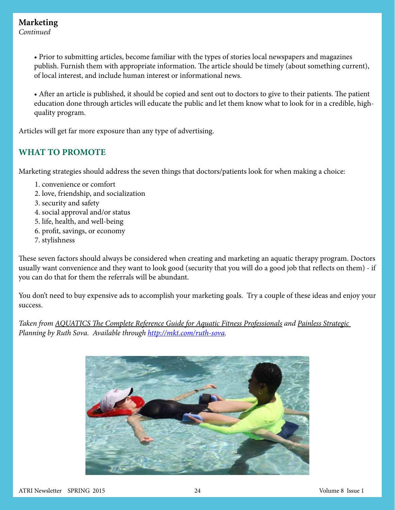#### **Marketing**

*Continued*

• Prior to submitting articles, become familiar with the types of stories local newspapers and magazines publish. Furnish them with appropriate information. The article should be timely (about something current), of local interest, and include human interest or informational news.

• After an article is published, it should be copied and sent out to doctors to give to their patients. The patient education done through articles will educate the public and let them know what to look for in a credible, highquality program.

Articles will get far more exposure than any type of advertising.

#### **WHAT TO PROMOTE**

Marketing strategies should address the seven things that doctors/patients look for when making a choice:

- 1. convenience or comfort
- 2. love, friendship, and socialization
- 3. security and safety
- 4. social approval and/or status
- 5. life, health, and well-being
- 6. profit, savings, or economy
- 7. stylishness

These seven factors should always be considered when creating and marketing an aquatic therapy program. Doctors usually want convenience and they want to look good (security that you will do a good job that reflects on them) - if you can do that for them the referrals will be abundant.

You don't need to buy expensive ads to accomplish your marketing goals. Try a couple of these ideas and enjoy your success.

*Taken from AQUATICS The Complete Reference Guide for Aquatic Fitness Professionals and Painless Strategic Planning by Ruth Sova. Available through http://mkt.com/ruth-sova.*

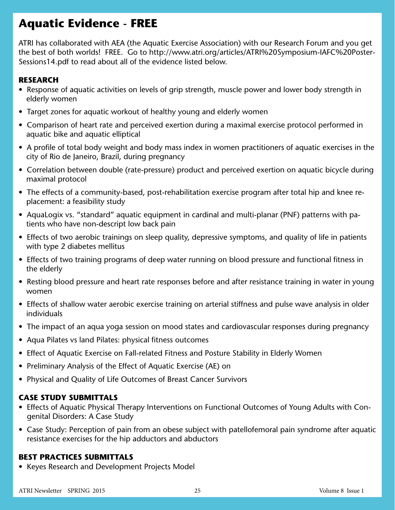### **Aquatic Evidence - FREE**

ATRI has collaborated with AEA (the Aquatic Exercise Association) with our Research Forum and you get the best of both worlds! FREE. Go to http://www.atri.org/articles/ATRI%20Symposium-IAFC%20Poster-Sessions14.pdf to read about all of the evidence listed below.

#### **RESEARCH**

- Response of aquatic activities on levels of grip strength, muscle power and lower body strength in elderly women
- Target zones for aquatic workout of healthy young and elderly women
- Comparison of heart rate and perceived exertion during a maximal exercise protocol performed in aquatic bike and aquatic elliptical
- A profile of total body weight and body mass index in women practitioners of aquatic exercises in the city of Rio de Janeiro, Brazil, during pregnancy
- Correlation between double (rate-pressure) product and perceived exertion on aquatic bicycle during maximal protocol
- The effects of a community-based, post-rehabilitation exercise program after total hip and knee replacement: a feasibility study
- AquaLogix vs. "standard" aquatic equipment in cardinal and multi-planar (PNF) patterns with patients who have non-descript low back pain
- Effects of two aerobic trainings on sleep quality, depressive symptoms, and quality of life in patients with type 2 diabetes mellitus
- Effects of two training programs of deep water running on blood pressure and functional fitness in the elderly
- Resting blood pressure and heart rate responses before and after resistance training in water in young women
- Effects of shallow water aerobic exercise training on arterial stiffness and pulse wave analysis in older individuals
- The impact of an aqua yoga session on mood states and cardiovascular responses during pregnancy
- Aqua Pilates vs land Pilates: physical fitness outcomes
- Effect of Aquatic Exercise on Fall-related Fitness and Posture Stability in Elderly Women
- Preliminary Analysis of the Effect of Aquatic Exercise (AE) on
- Physical and Quality of Life Outcomes of Breast Cancer Survivors

#### **CASE STUDY SUBMITTALS**

- Effects of Aquatic Physical Therapy Interventions on Functional Outcomes of Young Adults with Congenital Disorders: A Case Study
- Case Study: Perception of pain from an obese subject with patellofemoral pain syndrome after aquatic resistance exercises for the hip adductors and abductors

#### **BEST PRACTICES SUBMITTALS**

• Keyes Research and Development Projects Model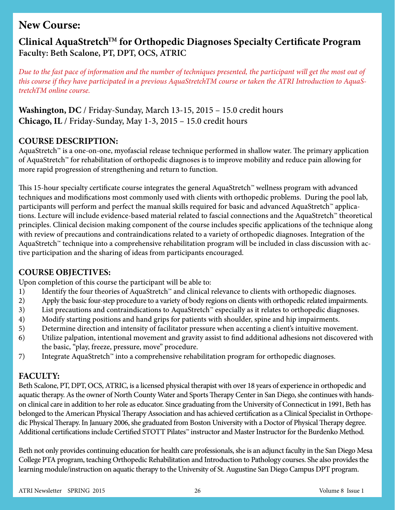### **New Course:**

### **Clinical AquaStretchTM for Orthopedic Diagnoses Specialty Certificate Program Faculty: Beth Scalone, PT, DPT, OCS, ATRIC**

*Due to the fast pace of information and the number of techniques presented, the participant will get the most out of this course if they have participated in a previous AquaStretchTM course or taken the ATRI Introduction to AquaStretchTM online course.* 

**Washington, DC** / Friday-Sunday, March 13-15, 2015 – 15.0 credit hours **Chicago, IL** / Friday-Sunday, May 1-3, 2015 – 15.0 credit hours

#### **COURSE DESCRIPTION:**

AquaStretch™ is a one-on-one, myofascial release technique performed in shallow water. The primary application of AquaStretch™ for rehabilitation of orthopedic diagnoses is to improve mobility and reduce pain allowing for more rapid progression of strengthening and return to function.

This 15-hour specialty certificate course integrates the general AquaStretch™ wellness program with advanced techniques and modifications most commonly used with clients with orthopedic problems. During the pool lab, participants will perform and perfect the manual skills required for basic and advanced AquaStretch™ applications. Lecture will include evidence-based material related to fascial connections and the AquaStretch™ theoretical principles. Clinical decision making component of the course includes specific applications of the technique along with review of precautions and contraindications related to a variety of orthopedic diagnoses. Integration of the AquaStretch™ technique into a comprehensive rehabilitation program will be included in class discussion with active participation and the sharing of ideas from participants encouraged.

#### **COURSE OBJECTIVES:**

Upon completion of this course the participant will be able to:

- 1) Identify the four theories of AquaStretch™ and clinical relevance to clients with orthopedic diagnoses.
- 2) Apply the basic four-step procedure to a variety of body regions on clients with orthopedic related impairments.
- 3) List precautions and contraindications to AquaStretch™ especially as it relates to orthopedic diagnoses.
- 4) Modify starting positions and hand grips for patients with shoulder, spine and hip impairments.
- 5) Determine direction and intensity of facilitator pressure when accenting a client's intuitive movement.
- 6) Utilize palpation, intentional movement and gravity assist to find additional adhesions not discovered with the basic, "play, freeze, pressure, move" procedure.
- 7) Integrate AquaStretch™ into a comprehensive rehabilitation program for orthopedic diagnoses.

#### **FACULTY:**

Beth Scalone, PT, DPT, OCS, ATRIC, is a licensed physical therapist with over 18 years of experience in orthopedic and aquatic therapy. As the owner of North County Water and Sports Therapy Center in San Diego, she continues with handson clinical care in addition to her role as educator. Since graduating from the University of Connecticut in 1991, Beth has belonged to the American Physical Therapy Association and has achieved certification as a Clinical Specialist in Orthopedic Physical Therapy. In January 2006, she graduated from Boston University with a Doctor of Physical Therapy degree. Additional certifications include Certified STOTT Pilates™ instructor and Master Instructor for the Burdenko Method.

Beth not only provides continuing education for health care professionals, she is an adjunct faculty in the San Diego Mesa College PTA program, teaching Orthopedic Rehabilitation and Introduction to Pathology courses. She also provides the learning module/instruction on aquatic therapy to the University of St. Augustine San Diego Campus DPT program.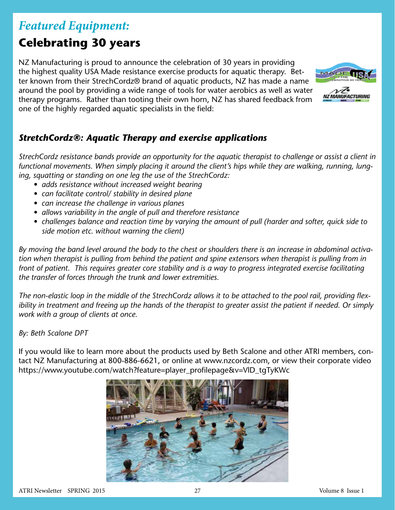### *Featured Equipment:*

### **Celebrating 30 years**

NZ Manufacturing is proud to announce the celebration of 30 years in providing the highest quality USA Made resistance exercise products for aquatic therapy. Better known from their StrechCordz® brand of aquatic products, NZ has made a name around the pool by providing a wide range of tools for water aerobics as well as water therapy programs. Rather than tooting their own horn, NZ has shared feedback from one of the highly regarded aquatic specialists in the field:



#### *StretchCordz®: Aquatic Therapy and exercise applications*

*StrechCordz resistance bands provide an opportunity for the aquatic therapist to challenge or assist a client in functional movements. When simply placing it around the client's hips while they are walking, running, lunging, squatting or standing on one leg the use of the StrechCordz:* 

- *adds resistance without increased weight bearing*
- *can facilitate control/ stability in desired plane*
- *can increase the challenge in various planes*
- *allows variability in the angle of pull and therefore resistance*
- *challenges balance and reaction time by varying the amount of pull (harder and softer, quick side to side motion etc. without warning the client)*

*By moving the band level around the body to the chest or shoulders there is an increase in abdominal activation when therapist is pulling from behind the patient and spine extensors when therapist is pulling from in front of patient. This requires greater core stability and is a way to progress integrated exercise facilitating the transfer of forces through the trunk and lower extremities.* 

*The non-elastic loop in the middle of the StrechCordz allows it to be attached to the pool rail, providing flexibility in treatment and freeing up the hands of the therapist to greater assist the patient if needed. Or simply work with a group of clients at once.* 

#### *By: Beth Scalone DPT*

If you would like to learn more about the products used by Beth Scalone and other ATRI members, contact NZ Manufacturing at 800-886-6621, or online at www.nzcordz.com, or view their corporate video https://www.youtube.com/watch?feature=player\_profilepage&v=VlD\_tgTyKWc

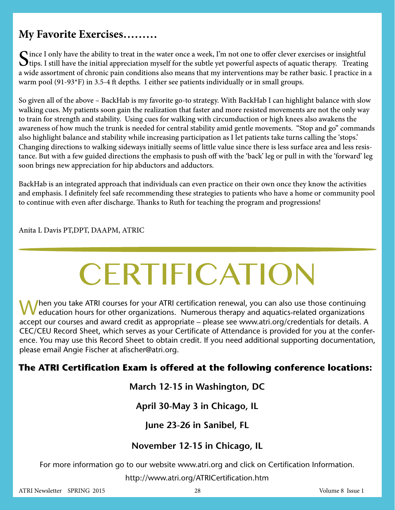### **My Favorite Exercises………**

Cince I only have the ability to treat in the water once a week, I'm not one to offer clever exercises or insightful  $\bigcup$ tips. I still have the initial appreciation myself for the subtle yet powerful aspects of aquatic therapy. Treating a wide assortment of chronic pain conditions also means that my interventions may be rather basic. I practice in a warm pool (91-93\*F) in 3.5-4 ft depths. I either see patients individually or in small groups.

So given all of the above – BackHab is my favorite go-to strategy. With BackHab I can highlight balance with slow walking cues. My patients soon gain the realization that faster and more resisted movements are not the only way to train for strength and stability. Using cues for walking with circumduction or high knees also awakens the awareness of how much the trunk is needed for central stability amid gentle movements. "Stop and go" commands also highlight balance and stability while increasing participation as I let patients take turns calling the 'stops.' Changing directions to walking sideways initially seems of little value since there is less surface area and less resistance. But with a few guided directions the emphasis to push off with the 'back' leg or pull in with the 'forward' leg soon brings new appreciation for hip abductors and adductors.

BackHab is an integrated approach that individuals can even practice on their own once they know the activities and emphasis. I definitely feel safe recommending these strategies to patients who have a home or community pool to continue with even after discharge. Thanks to Ruth for teaching the program and progressions!

#### Anita L Davis PT,DPT, DAAPM, ATRIC

# **CERTIFICATION**

When you take ATRI courses for your ATRI certification renewal, you can also use those continuing education hours for other organizations. Numerous therapy and aquatics-related organizations accept our courses and award credit as appropriate – please see www.atri.org/credentials for details. A CEC/CEU Record Sheet, which serves as your Certificate of Attendance is provided for you at the conference. You may use this Record Sheet to obtain credit. If you need additional supporting documentation, please email Angie Fischer at afischer@atri.org.

#### **The ATRI Certification Exam is offered at the following conference locations:**

#### **March 12-15 in Washington, DC**

#### **April 30-May 3 in Chicago, IL**

#### **June 23-26 in Sanibel, FL**

#### **November 12-15 in Chicago, IL**

For more information go to our website www.atri.org and click on Certification Information.

http://www.atri.org/ATRICertification.htm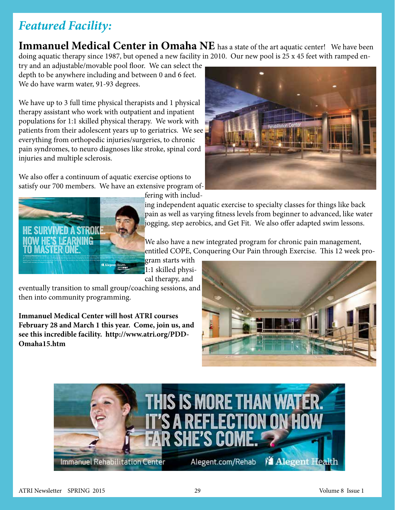### *Featured Facility:*

**Immanuel Medical Center in Omaha NE** has a state of the art aquatic center! We have been doing aquatic therapy since 1987, but opened a new facility in 2010. Our new pool is 25 x 45 feet with ramped en-

try and an adjustable/movable pool floor. We can select the depth to be anywhere including and between 0 and 6 feet. We do have warm water, 91-93 degrees.

We have up to 3 full time physical therapists and 1 physical therapy assistant who work with outpatient and inpatient populations for 1:1 skilled physical therapy. We work with patients from their adolescent years up to geriatrics. We see everything from orthopedic injuries/surgeries, to chronic pain syndromes, to neuro diagnoses like stroke, spinal cord injuries and multiple sclerosis.

We also offer a continuum of aquatic exercise options to satisfy our 700 members. We have an extensive program of-



fering with includ-

ing independent aquatic exercise to specialty classes for things like back pain as well as varying fitness levels from beginner to advanced, like water jogging, step aerobics, and Get Fit. We also offer adapted swim lessons.

We also have a new integrated program for chronic pain management, entitled COPE, Conquering Our Pain through Exercise. This 12 week pro-

gram starts with 1:1 skilled physical therapy, and

eventually transition to small group/coaching sessions, and then into community programming.

**Immanuel Medical Center will host ATRI courses February 28 and March 1 this year. Come, join us, and see this incredible facility. http://www.atri.org/PDD-Omaha15.htm**